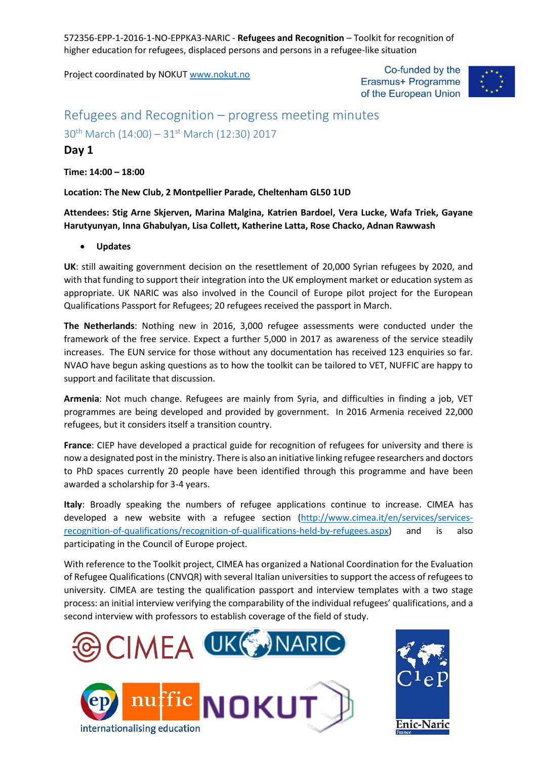Project coordinated by NOKUT [www.nokut.no](http://www.nokut.no/) 

Co-funded by the Erasmus+ Programme of the European Union



# Refugees and Recognition – progress meeting minutes

### $30^{th}$  March (14:00) –  $31^{st}$  March (12:30) 2017

### **Day 1**

**Time: 14:00 – 18:00**

**Location: The New Club, 2 Montpellier Parade, Cheltenham GL50 1UD**

**Attendees: Stig Arne Skjerven, Marina Malgina, Katrien Bardoel, Vera Lucke, Wafa Triek, Gayane Harutyunyan, Inna Ghabulyan, Lisa Collett, Katherine Latta, Rose Chacko, Adnan Rawwash**

**Updates**

**UK**: still awaiting government decision on the resettlement of 20,000 Syrian refugees by 2020, and with that funding to support their integration into the UK employment market or education system as appropriate. UK NARIC was also involved in the Council of Europe pilot project for the European Qualifications Passport for Refugees; 20 refugees received the passport in March.

**The Netherlands**: Nothing new in 2016, 3,000 refugee assessments were conducted under the framework of the free service. Expect a further 5,000 in 2017 as awareness of the service steadily increases. The EUN service for those without any documentation has received 123 enquiries so far. NVAO have begun asking questions as to how the toolkit can be tailored to VET, NUFFIC are happy to support and facilitate that discussion.

**Armenia**: Not much change. Refugees are mainly from Syria, and difficulties in finding a job, VET programmes are being developed and provided by government. In 2016 Armenia received 22,000 refugees, but it considers itself a transition country.

**France**: CIEP have developed a practical guide for recognition of refugees for university and there is now a designated post in the ministry. There is also an initiative linking refugee researchers and doctors to PhD spaces currently 20 people have been identified through this programme and have been awarded a scholarship for 3-4 years.

**Italy**: Broadly speaking the numbers of refugee applications continue to increase. CIMEA has developed a new website with a refugee section [\(http://www.cimea.it/en/services/services](http://www.cimea.it/en/services/services-recognition-of-qualifications/recognition-of-qualifications-held-by-refugees.aspx)[recognition-of-qualifications/recognition-of-qualifications-held-by-refugees.aspx\)](http://www.cimea.it/en/services/services-recognition-of-qualifications/recognition-of-qualifications-held-by-refugees.aspx) and is also participating in the Council of Europe project.

With reference to the Toolkit project, CIMEA has organized a National Coordination for the Evaluation of Refugee Qualifications (CNVQR) with several Italian universities to support the access of refugees to university. CIMEA are testing the qualification passport and interview templates with a two stage process: an initial interview verifying the comparability of the individual refugees' qualifications, and a second interview with professors to establish coverage of the field of study.





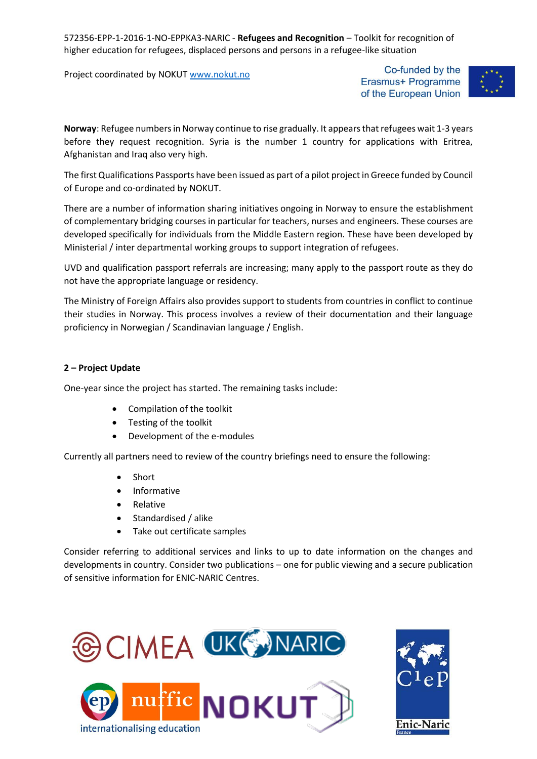Project coordinated by NOKUT [www.nokut.no](http://www.nokut.no/) 

Co-funded by the Erasmus+ Programme of the European Union



**Norway**: Refugee numbers in Norway continue to rise gradually. It appears that refugees wait 1-3 years before they request recognition. Syria is the number 1 country for applications with Eritrea, Afghanistan and Iraq also very high.

The first Qualifications Passports have been issued as part of a pilot project in Greece funded by Council of Europe and co-ordinated by NOKUT.

There are a number of information sharing initiatives ongoing in Norway to ensure the establishment of complementary bridging courses in particular for teachers, nurses and engineers. These courses are developed specifically for individuals from the Middle Eastern region. These have been developed by Ministerial / inter departmental working groups to support integration of refugees.

UVD and qualification passport referrals are increasing; many apply to the passport route as they do not have the appropriate language or residency.

The Ministry of Foreign Affairs also provides support to students from countries in conflict to continue their studies in Norway. This process involves a review of their documentation and their language proficiency in Norwegian / Scandinavian language / English.

#### **2 – Project Update**

One-year since the project has started. The remaining tasks include:

- Compilation of the toolkit
- Testing of the toolkit
- Development of the e-modules

Currently all partners need to review of the country briefings need to ensure the following:

- Short
- Informative
- Relative
- Standardised / alike
- Take out certificate samples

Consider referring to additional services and links to up to date information on the changes and developments in country. Consider two publications – one for public viewing and a secure publication of sensitive information for ENIC-NARIC Centres.



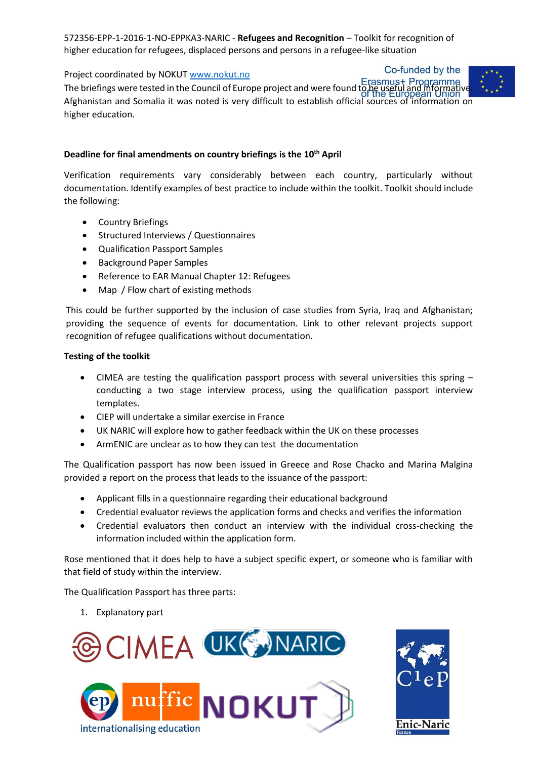Project coordinated by NOKUT [www.nokut.no](http://www.nokut.no/) 

Co-funded by the



Troject coordinated by NOROT <u>MWW.Hokdthoffers.</u><br>The briefings were tested in the Council of Europe project and were found to be useful and informative. Afghanistan and Somalia it was noted is very difficult to establish official sources of information on higher education.

### **Deadline for final amendments on country briefings is the 10th April**

Verification requirements vary considerably between each country, particularly without documentation. Identify examples of best practice to include within the toolkit. Toolkit should include the following:

- Country Briefings
- Structured Interviews / Questionnaires
- Qualification Passport Samples
- **•** Background Paper Samples
- Reference to EAR Manual Chapter 12: Refugees
- Map / Flow chart of existing methods

This could be further supported by the inclusion of case studies from Syria, Iraq and Afghanistan; providing the sequence of events for documentation. Link to other relevant projects support recognition of refugee qualifications without documentation.

#### **Testing of the toolkit**

- CIMEA are testing the qualification passport process with several universities this spring conducting a two stage interview process, using the qualification passport interview templates.
- CIEP will undertake a similar exercise in France
- UK NARIC will explore how to gather feedback within the UK on these processes
- ArmENIC are unclear as to how they can test the documentation

The Qualification passport has now been issued in Greece and Rose Chacko and Marina Malgina provided a report on the process that leads to the issuance of the passport:

- Applicant fills in a questionnaire regarding their educational background
- Credential evaluator reviews the application forms and checks and verifies the information
- Credential evaluators then conduct an interview with the individual cross-checking the information included within the application form.

Rose mentioned that it does help to have a subject specific expert, or someone who is familiar with that field of study within the interview.

The Qualification Passport has three parts:

1. Explanatory part





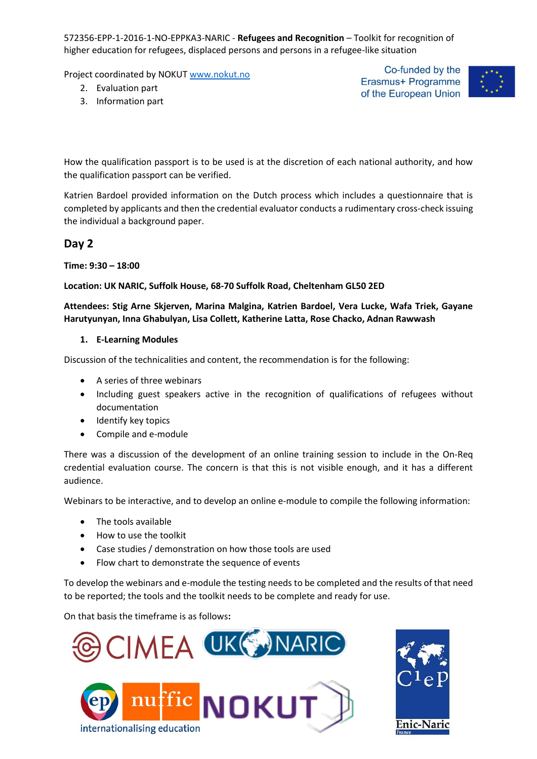Project coordinated by NOKUT [www.nokut.no](http://www.nokut.no/) 

- 2. Evaluation part
- 3. Information part

Co-funded by the Erasmus+ Programme of the European Union



How the qualification passport is to be used is at the discretion of each national authority, and how the qualification passport can be verified.

Katrien Bardoel provided information on the Dutch process which includes a questionnaire that is completed by applicants and then the credential evaluator conducts a rudimentary cross-check issuing the individual a background paper.

### **Day 2**

**Time: 9:30 – 18:00**

#### **Location: UK NARIC, Suffolk House, 68-70 Suffolk Road, Cheltenham GL50 2ED**

#### **Attendees: Stig Arne Skjerven, Marina Malgina, Katrien Bardoel, Vera Lucke, Wafa Triek, Gayane Harutyunyan, Inna Ghabulyan, Lisa Collett, Katherine Latta, Rose Chacko, Adnan Rawwash**

#### **1. E-Learning Modules**

Discussion of the technicalities and content, the recommendation is for the following:

- A series of three webinars
- Including guest speakers active in the recognition of qualifications of refugees without documentation
- Identify key topics
- Compile and e-module

There was a discussion of the development of an online training session to include in the On-Req credential evaluation course. The concern is that this is not visible enough, and it has a different audience.

Webinars to be interactive, and to develop an online e-module to compile the following information:

- The tools available
- How to use the toolkit
- Case studies / demonstration on how those tools are used
- Flow chart to demonstrate the sequence of events

To develop the webinars and e-module the testing needs to be completed and the results of that need to be reported; the tools and the toolkit needs to be complete and ready for use.

On that basis the timeframe is as follows**:**



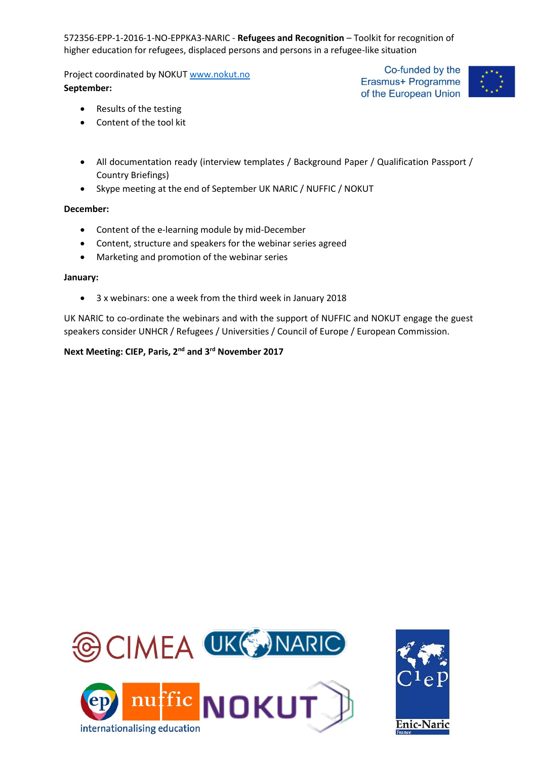Project coordinated by NOKUT [www.nokut.no](http://www.nokut.no/)  **September:** 

Co-funded by the Erasmus+ Programme of the European Union



- Results of the testing
- Content of the tool kit
- All documentation ready (interview templates / Background Paper / Qualification Passport / Country Briefings)
- Skype meeting at the end of September UK NARIC / NUFFIC / NOKUT

#### **December:**

- Content of the e-learning module by mid-December
- Content, structure and speakers for the webinar series agreed
- Marketing and promotion of the webinar series

#### **January:**

3 x webinars: one a week from the third week in January 2018

UK NARIC to co-ordinate the webinars and with the support of NUFFIC and NOKUT engage the guest speakers consider UNHCR / Refugees / Universities / Council of Europe / European Commission.

### **Next Meeting: CIEP, Paris, 2nd and 3rd November 2017**